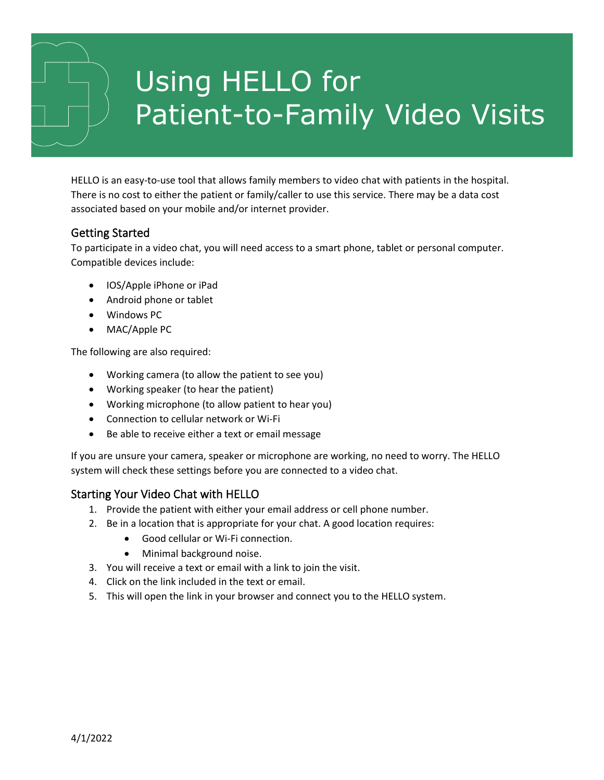# Using HELLO for Patient-to-Family Video Visits

HELLO is an easy-to-use tool that allows family members to video chat with patients in the hospital. There is no cost to either the patient or family/caller to use this service. There may be a data cost associated based on your mobile and/or internet provider.

## Getting Started

To participate in a video chat, you will need access to a smart phone, tablet or personal computer. Compatible devices include:

- IOS/Apple iPhone or iPad
- Android phone or tablet
- Windows PC
- MAC/Apple PC

The following are also required:

- Working camera (to allow the patient to see you)
- Working speaker (to hear the patient)
- Working microphone (to allow patient to hear you)
- Connection to cellular network or Wi-Fi
- Be able to receive either a text or email message

If you are unsure your camera, speaker or microphone are working, no need to worry. The HELLO system will check these settings before you are connected to a video chat.

#### Starting Your Video Chat with HELLO

- 1. Provide the patient with either your email address or cell phone number.
- 2. Be in a location that is appropriate for your chat. A good location requires:
	- Good cellular or Wi-Fi connection.
	- Minimal background noise.
- 3. You will receive a text or email with a link to join the visit.
- 4. Click on the link included in the text or email.
- 5. This will open the link in your browser and connect you to the HELLO system.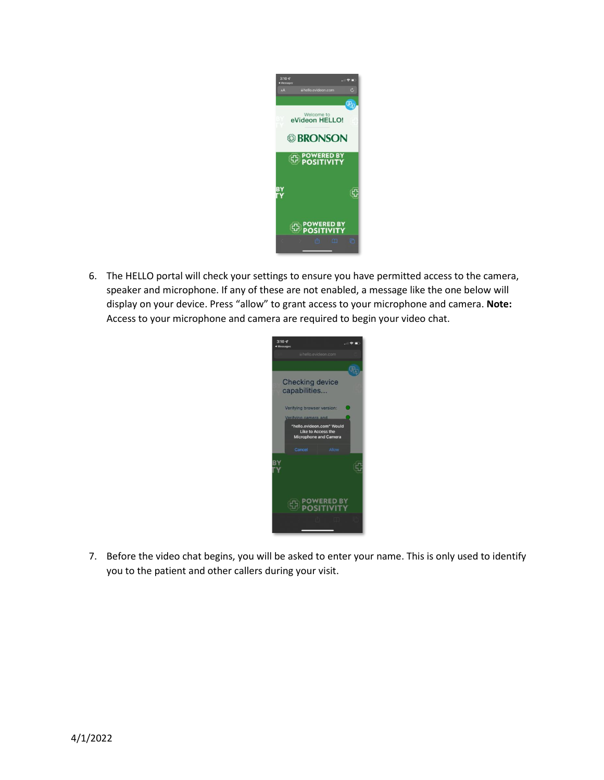

6. The HELLO portal will check your settings to ensure you have permitted access to the camera, speaker and microphone. If any of these are not enabled, a message like the one below will display on your device. Press "allow" to grant access to your microphone and camera. **Note:** Access to your microphone and camera are required to begin your video chat.



7. Before the video chat begins, you will be asked to enter your name. This is only used to identify you to the patient and other callers during your visit.